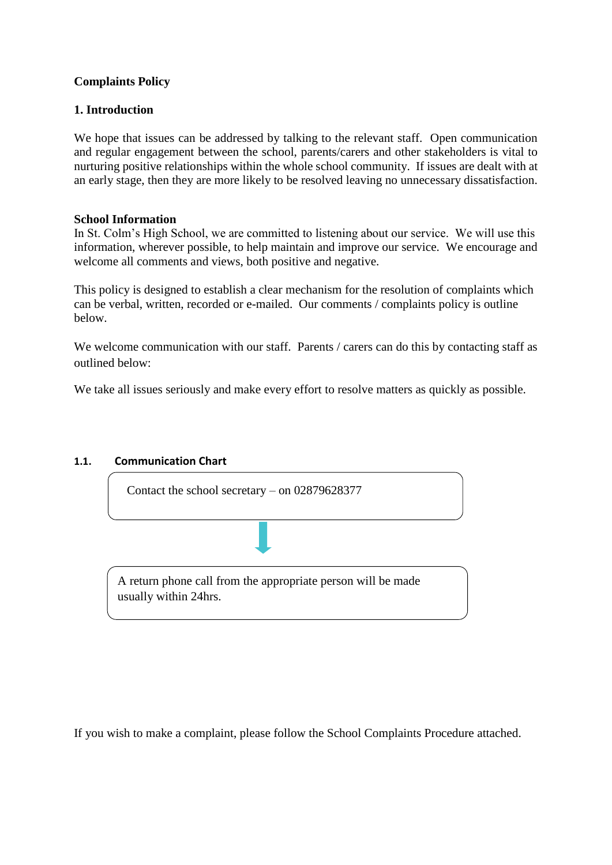### **Complaints Policy**

#### **1. Introduction**

We hope that issues can be addressed by talking to the relevant staff. Open communication and regular engagement between the school, parents/carers and other stakeholders is vital to nurturing positive relationships within the whole school community. If issues are dealt with at an early stage, then they are more likely to be resolved leaving no unnecessary dissatisfaction.

#### **School Information**

In St. Colm's High School, we are committed to listening about our service. We will use this information, wherever possible, to help maintain and improve our service. We encourage and welcome all comments and views, both positive and negative.

This policy is designed to establish a clear mechanism for the resolution of complaints which can be verbal, written, recorded or e-mailed. Our comments / complaints policy is outline below.

We welcome communication with our staff. Parents / carers can do this by contacting staff as outlined below:

We take all issues seriously and make every effort to resolve matters as quickly as possible.

#### **1.1. Communication Chart**

Contact the school secretary – on 02879628377

A return phone call from the appropriate person will be made usually within 24hrs.

If you wish to make a complaint, please follow the School Complaints Procedure attached.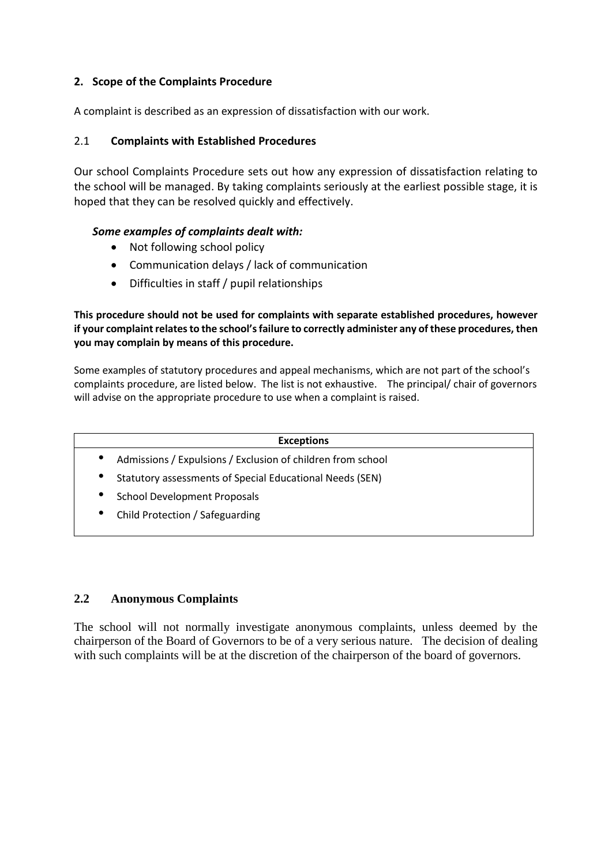### **2. Scope of the Complaints Procedure**

A complaint is described as an expression of dissatisfaction with our work.

#### 2.1 **Complaints with Established Procedures**

Our school Complaints Procedure sets out how any expression of dissatisfaction relating to the school will be managed. By taking complaints seriously at the earliest possible stage, it is hoped that they can be resolved quickly and effectively.

#### *Some examples of complaints dealt with:*

- Not following school policy
- Communication delays / lack of communication
- Difficulties in staff / pupil relationships

#### **This procedure should not be used for complaints with separate established procedures, however if your complaint relates to the school's failure to correctly administer any of these procedures, then you may complain by means of this procedure.**

Some examples of statutory procedures and appeal mechanisms, which are not part of the school's complaints procedure, are listed below. The list is not exhaustive. The principal/ chair of governors will advise on the appropriate procedure to use when a complaint is raised.

|           | <b>Exceptions</b>                                           |
|-----------|-------------------------------------------------------------|
|           | Admissions / Expulsions / Exclusion of children from school |
| ٠         | Statutory assessments of Special Educational Needs (SEN)    |
| $\bullet$ | <b>School Development Proposals</b>                         |
| ٠         | Child Protection / Safeguarding                             |

## **2.2 Anonymous Complaints**

The school will not normally investigate anonymous complaints, unless deemed by the chairperson of the Board of Governors to be of a very serious nature. The decision of dealing with such complaints will be at the discretion of the chairperson of the board of governors.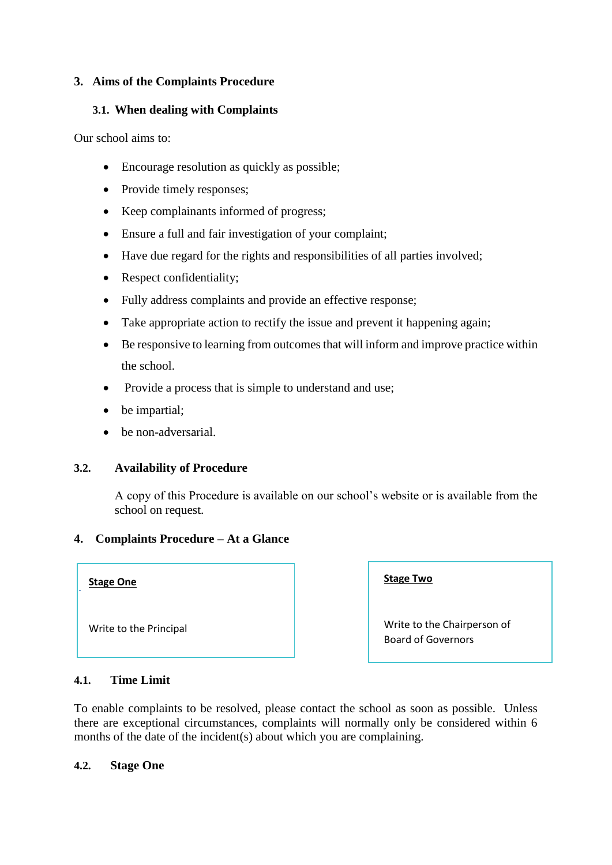#### **3. Aims of the Complaints Procedure**

#### **3.1. When dealing with Complaints**

Our school aims to:

- Encourage resolution as quickly as possible:
- Provide timely responses;
- Keep complainants informed of progress;
- Ensure a full and fair investigation of your complaint;
- Have due regard for the rights and responsibilities of all parties involved;
- Respect confidentiality;
- Fully address complaints and provide an effective response;
- Take appropriate action to rectify the issue and prevent it happening again;
- Be responsive to learning from outcomes that will inform and improve practice within the school.
- Provide a process that is simple to understand and use;
- be impartial;
- be non-adversarial.

### **3.2. Availability of Procedure**

A copy of this Procedure is available on our school's website or is available from the school on request.

### **4. Complaints Procedure – At a Glance**

#### **Stage One**

Write to the Principal

**Stage Two**

Write to the Chairperson of Board of Governors

### **4.1. Time Limit**

To enable complaints to be resolved, please contact the school as soon as possible. Unless there are exceptional circumstances, complaints will normally only be considered within 6 months of the date of the incident(s) about which you are complaining.

#### **4.2. Stage One**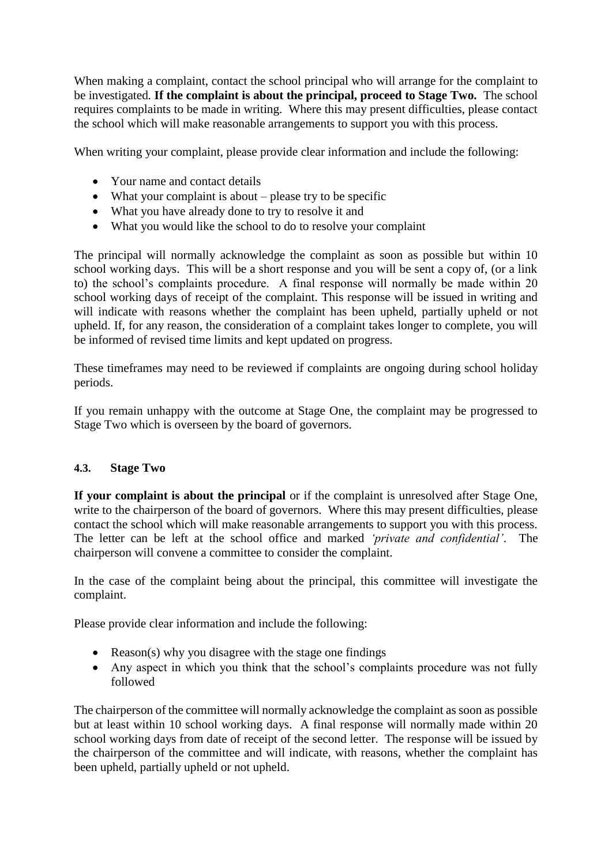When making a complaint, contact the school principal who will arrange for the complaint to be investigated*.* **If the complaint is about the principal, proceed to Stage Two.** The school requires complaints to be made in writing. Where this may present difficulties, please contact the school which will make reasonable arrangements to support you with this process.

When writing your complaint, please provide clear information and include the following:

- Your name and contact details
- $\bullet$  What your complaint is about please try to be specific
- What you have already done to try to resolve it and
- What you would like the school to do to resolve your complaint

The principal will normally acknowledge the complaint as soon as possible but within 10 school working days. This will be a short response and you will be sent a copy of, (or a link to) the school's complaints procedure. A final response will normally be made within 20 school working days of receipt of the complaint. This response will be issued in writing and will indicate with reasons whether the complaint has been upheld, partially upheld or not upheld. If, for any reason, the consideration of a complaint takes longer to complete, you will be informed of revised time limits and kept updated on progress.

These timeframes may need to be reviewed if complaints are ongoing during school holiday periods.

If you remain unhappy with the outcome at Stage One, the complaint may be progressed to Stage Two which is overseen by the board of governors.

### **4.3. Stage Two**

If your complaint is about the principal or if the complaint is unresolved after Stage One, write to the chairperson of the board of governors. Where this may present difficulties, please contact the school which will make reasonable arrangements to support you with this process. The letter can be left at the school office and marked *'private and confidential'*.The chairperson will convene a committee to consider the complaint.

In the case of the complaint being about the principal, this committee will investigate the complaint.

Please provide clear information and include the following:

- Reason(s) why you disagree with the stage one findings
- Any aspect in which you think that the school's complaints procedure was not fully followed

The chairperson of the committee will normally acknowledge the complaint as soon as possible but at least within 10 school working days. A final response will normally made within 20 school working days from date of receipt of the second letter. The response will be issued by the chairperson of the committee and will indicate, with reasons, whether the complaint has been upheld, partially upheld or not upheld.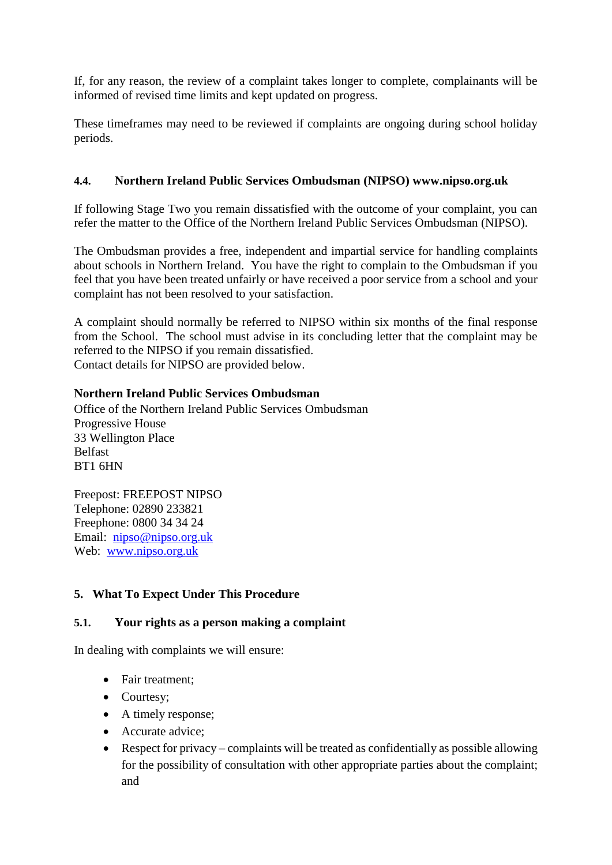If, for any reason, the review of a complaint takes longer to complete, complainants will be informed of revised time limits and kept updated on progress.

These timeframes may need to be reviewed if complaints are ongoing during school holiday periods.

## **4.4. Northern Ireland Public Services Ombudsman (NIPSO) www.nipso.org.uk**

If following Stage Two you remain dissatisfied with the outcome of your complaint, you can refer the matter to the Office of the Northern Ireland Public Services Ombudsman (NIPSO).

The Ombudsman provides a free, independent and impartial service for handling complaints about schools in Northern Ireland. You have the right to complain to the Ombudsman if you feel that you have been treated unfairly or have received a poor service from a school and your complaint has not been resolved to your satisfaction.

A complaint should normally be referred to NIPSO within six months of the final response from the School. The school must advise in its concluding letter that the complaint may be referred to the NIPSO if you remain dissatisfied.

Contact details for NIPSO are provided below.

## **Northern Ireland Public Services Ombudsman**

Office of the Northern Ireland Public Services Ombudsman Progressive House 33 Wellington Place Belfast BT1 6HN

Freepost: FREEPOST NIPSO Telephone: 02890 233821 Freephone: 0800 34 34 24 Email: [nipso@nipso.org.uk](mailto:nipso@nipso.org.uk) Web: [www.nipso.org.uk](http://www.nipso.org.uk/)

# **5. What To Expect Under This Procedure**

### **5.1. Your rights as a person making a complaint**

In dealing with complaints we will ensure:

- Fair treatment;
- Courtesy:
- A timely response:
- Accurate advice;
- Respect for privacy complaints will be treated as confidentially as possible allowing for the possibility of consultation with other appropriate parties about the complaint; and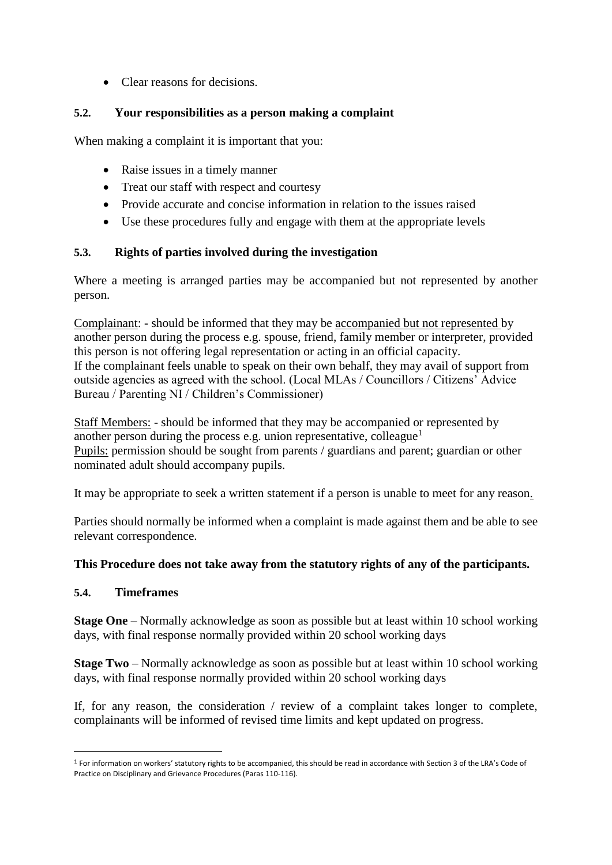Clear reasons for decisions.

## **5.2. Your responsibilities as a person making a complaint**

When making a complaint it is important that you:

- Raise issues in a timely manner
- Treat our staff with respect and courtesy
- Provide accurate and concise information in relation to the issues raised
- Use these procedures fully and engage with them at the appropriate levels

## **5.3. Rights of parties involved during the investigation**

Where a meeting is arranged parties may be accompanied but not represented by another person.

Complainant: - should be informed that they may be accompanied but not represented by another person during the process e.g. spouse, friend, family member or interpreter, provided this person is not offering legal representation or acting in an official capacity. If the complainant feels unable to speak on their own behalf, they may avail of support from outside agencies as agreed with the school. (Local MLAs / Councillors / Citizens' Advice Bureau / Parenting NI / Children's Commissioner)

Staff Members: - should be informed that they may be accompanied or represented by another person during the process e.g. union representative, colleague<sup>1</sup> Pupils: permission should be sought from parents / guardians and parent; guardian or other nominated adult should accompany pupils.

It may be appropriate to seek a written statement if a person is unable to meet for any reason*.*

Parties should normally be informed when a complaint is made against them and be able to see relevant correspondence.

### **This Procedure does not take away from the statutory rights of any of the participants.**

### **5.4. Timeframes**

**.** 

**Stage One** – Normally acknowledge as soon as possible but at least within 10 school working days, with final response normally provided within 20 school working days

**Stage Two** – Normally acknowledge as soon as possible but at least within 10 school working days, with final response normally provided within 20 school working days

If, for any reason, the consideration  $\ell$  review of a complaint takes longer to complete, complainants will be informed of revised time limits and kept updated on progress.

 $1$  For information on workers' statutory rights to be accompanied, this should be read in accordance with Section 3 of the LRA's Code of Practice on Disciplinary and Grievance Procedures (Paras 110-116).